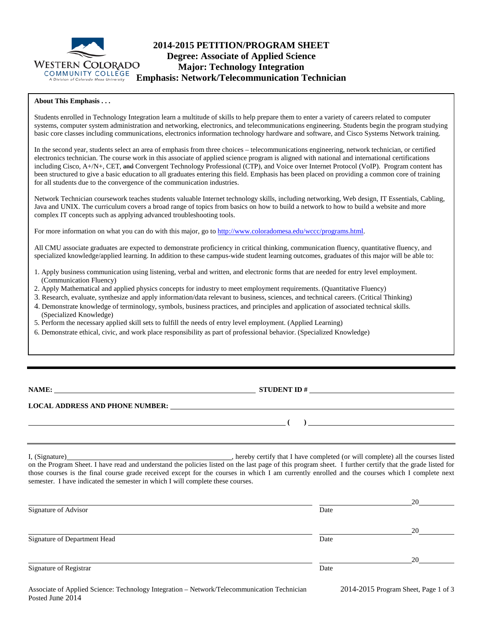

# **2014-2015 PETITION/PROGRAM SHEET Degree: Associate of Applied Science Major: Technology Integration Emphasis: Network/Telecommunication Technician**

#### **About This Emphasis . . .**

Students enrolled in Technology Integration learn a multitude of skills to help prepare them to enter a variety of careers related to computer systems, computer system administration and networking, electronics, and telecommunications engineering. Students begin the program studying basic core classes including communications, electronics information technology hardware and software, and Cisco Systems Network training.

In the second year, students select an area of emphasis from three choices – telecommunications engineering, network technician, or certified electronics technician. The course work in this associate of applied science program is aligned with national and international certifications including Cisco, A+/N+, CET, and Convergent Technology Professional (CTP), and Voice over Internet Protocol (VoIP). Program content has been structured to give a basic education to all graduates entering this field. Emphasis has been placed on providing a common core of training for all students due to the convergence of the communication industries.

Network Technician coursework teaches students valuable Internet technology skills, including networking, Web design, IT Essentials, Cabling, Java and UNIX. The curriculum covers a broad range of topics from basics on how to build a network to how to build a website and more complex IT concepts such as applying advanced troubleshooting tools.

For more information on what you can do with this major, go to [http://www.coloradomesa.edu/wccc/programs.html.](http://www.coloradomesa.edu/wccc/programs.html)

All CMU associate graduates are expected to demonstrate proficiency in critical thinking, communication fluency, quantitative fluency, and specialized knowledge/applied learning. In addition to these campus-wide student learning outcomes, graduates of this major will be able to:

- 1. Apply business communication using listening, verbal and written, and electronic forms that are needed for entry level employment. (Communication Fluency)
- 2. Apply Mathematical and applied physics concepts for industry to meet employment requirements. (Quantitative Fluency)
- 3. Research, evaluate, synthesize and apply information/data relevant to business, sciences, and technical careers. (Critical Thinking)
- 4. Demonstrate knowledge of terminology, symbols, business practices, and principles and application of associated technical skills. (Specialized Knowledge)
- 5. Perform the necessary applied skill sets to fulfill the needs of entry level employment. (Applied Learning)
- 6. Demonstrate ethical, civic, and work place responsibility as part of professional behavior. (Specialized Knowledge)

**NAME: STUDENT ID #** 

**( )** 

#### **LOCAL ADDRESS AND PHONE NUMBER:**

I, (Signature) , hereby certify that I have completed (or will complete) all the courses listed on the Program Sheet. I have read and understand the policies listed on the last page of this program sheet. I further certify that the grade listed for those courses is the final course grade received except for the courses in which I am currently enrolled and the courses which I complete next semester. I have indicated the semester in which I will complete these courses.

|                              |      | 20 |
|------------------------------|------|----|
| Signature of Advisor         | Date |    |
|                              |      | 20 |
| Signature of Department Head | Date |    |
|                              |      | 20 |
| Signature of Registrar       | Date |    |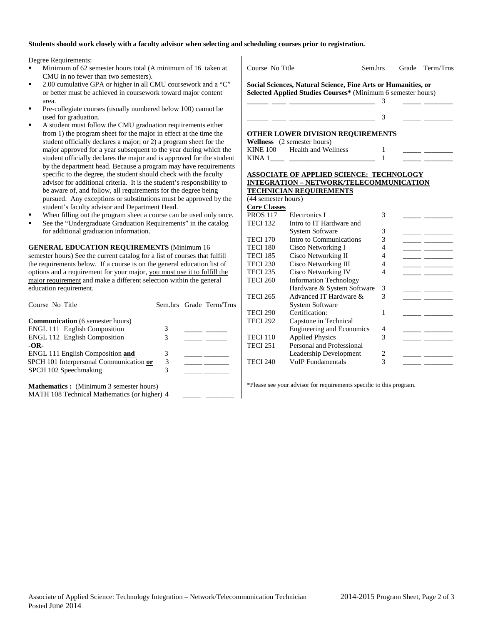### **Students should work closely with a faculty advisor when selecting and scheduling courses prior to registration.**

Degree Requirements:

- Minimum of 62 semester hours total (A minimum of 16 taken at CMU in no fewer than two semesters).
- 2.00 cumulative GPA or higher in all CMU coursework and a "C" or better must be achieved in coursework toward major content area.
- Pre-collegiate courses (usually numbered below 100) cannot be used for graduation.
- A student must follow the CMU graduation requirements either from 1) the program sheet for the major in effect at the time the student officially declares a major; or 2) a program sheet for the major approved for a year subsequent to the year during which the student officially declares the major and is approved for the student by the department head. Because a program may have requirements specific to the degree, the student should check with the faculty advisor for additional criteria. It is the student's responsibility to be aware of, and follow, all requirements for the degree being pursued. Any exceptions or substitutions must be approved by the student's faculty advisor and Department Head.
- When filling out the program sheet a course can be used only once.
- See the "Undergraduate Graduation Requirements" in the catalog for additional graduation information.

**GENERAL EDUCATION REQUIREMENTS** (Minimum 16 semester hours) See the current catalog for a list of courses that fulfill the requirements below. If a course is on the general education list of options and a requirement for your major, you must use it to fulfill the major requirement and make a different selection within the general education requirement.

| Course No Title                                                                                |        | Sem.hrs Grade Term/Trns |
|------------------------------------------------------------------------------------------------|--------|-------------------------|
| <b>Communication</b> (6 semester hours)<br><b>ENGL 111 English Composition</b>                 | 3      |                         |
| <b>ENGL 112 English Composition</b>                                                            | 3      |                         |
| $-OR-$<br>ENGL 111 English Composition and                                                     | 3      |                         |
| SPCH 101 Interpersonal Communication or<br>SPCH 102 Speechmaking                               | 3<br>3 |                         |
|                                                                                                |        |                         |
| <b>Mathematics:</b> (Minimum 3 semester hours)<br>MATH 108 Technical Mathematics (or higher) 4 |        |                         |

| Social Sciences, Natural Science, Fine Arts or Humanities, or<br>Selected Applied Studies Courses* (Minimum 6 semester hours)<br>OTHER LOWER DIVISION REQUIREMENTS<br>Wellness (2 semester hours)<br><b>Health and Wellness</b><br><b>KINE 100</b><br><b>ASSOCIATE OF APPLIED SCIENCE: TECHNOLOGY</b><br><b>INTEGRATION - NETWORK/TELECOMMUNICATION</b><br><b>TECHNICIAN REQUIREMENTS</b><br>(44 semester hours)<br><b>Core Classes</b><br><b>PROS 117</b><br>Electronics I<br><b>TECI 132</b><br>Intro to IT Hardware and<br><b>System Software</b><br>Intro to Communications<br><b>TECI 170</b><br><b>TECI 180</b><br>Cisco Networking I<br><b>TECI 185</b><br>Cisco Networking II<br><b>TECI 230</b><br>Cisco Networking III<br>Cisco Networking IV<br><b>TECI 235</b><br><b>Information Technology</b><br><b>TECI 260</b> | 3<br>3<br>1<br>1<br>3 |  |
|--------------------------------------------------------------------------------------------------------------------------------------------------------------------------------------------------------------------------------------------------------------------------------------------------------------------------------------------------------------------------------------------------------------------------------------------------------------------------------------------------------------------------------------------------------------------------------------------------------------------------------------------------------------------------------------------------------------------------------------------------------------------------------------------------------------------------------|-----------------------|--|
|                                                                                                                                                                                                                                                                                                                                                                                                                                                                                                                                                                                                                                                                                                                                                                                                                                |                       |  |
|                                                                                                                                                                                                                                                                                                                                                                                                                                                                                                                                                                                                                                                                                                                                                                                                                                |                       |  |
|                                                                                                                                                                                                                                                                                                                                                                                                                                                                                                                                                                                                                                                                                                                                                                                                                                |                       |  |
|                                                                                                                                                                                                                                                                                                                                                                                                                                                                                                                                                                                                                                                                                                                                                                                                                                |                       |  |
|                                                                                                                                                                                                                                                                                                                                                                                                                                                                                                                                                                                                                                                                                                                                                                                                                                |                       |  |
|                                                                                                                                                                                                                                                                                                                                                                                                                                                                                                                                                                                                                                                                                                                                                                                                                                |                       |  |
|                                                                                                                                                                                                                                                                                                                                                                                                                                                                                                                                                                                                                                                                                                                                                                                                                                |                       |  |
|                                                                                                                                                                                                                                                                                                                                                                                                                                                                                                                                                                                                                                                                                                                                                                                                                                |                       |  |
|                                                                                                                                                                                                                                                                                                                                                                                                                                                                                                                                                                                                                                                                                                                                                                                                                                |                       |  |
|                                                                                                                                                                                                                                                                                                                                                                                                                                                                                                                                                                                                                                                                                                                                                                                                                                |                       |  |
|                                                                                                                                                                                                                                                                                                                                                                                                                                                                                                                                                                                                                                                                                                                                                                                                                                |                       |  |
|                                                                                                                                                                                                                                                                                                                                                                                                                                                                                                                                                                                                                                                                                                                                                                                                                                |                       |  |
|                                                                                                                                                                                                                                                                                                                                                                                                                                                                                                                                                                                                                                                                                                                                                                                                                                |                       |  |
|                                                                                                                                                                                                                                                                                                                                                                                                                                                                                                                                                                                                                                                                                                                                                                                                                                |                       |  |
|                                                                                                                                                                                                                                                                                                                                                                                                                                                                                                                                                                                                                                                                                                                                                                                                                                |                       |  |
|                                                                                                                                                                                                                                                                                                                                                                                                                                                                                                                                                                                                                                                                                                                                                                                                                                |                       |  |
|                                                                                                                                                                                                                                                                                                                                                                                                                                                                                                                                                                                                                                                                                                                                                                                                                                |                       |  |
|                                                                                                                                                                                                                                                                                                                                                                                                                                                                                                                                                                                                                                                                                                                                                                                                                                | 3                     |  |
|                                                                                                                                                                                                                                                                                                                                                                                                                                                                                                                                                                                                                                                                                                                                                                                                                                | 3                     |  |
|                                                                                                                                                                                                                                                                                                                                                                                                                                                                                                                                                                                                                                                                                                                                                                                                                                | $\overline{4}$        |  |
|                                                                                                                                                                                                                                                                                                                                                                                                                                                                                                                                                                                                                                                                                                                                                                                                                                | 4                     |  |
|                                                                                                                                                                                                                                                                                                                                                                                                                                                                                                                                                                                                                                                                                                                                                                                                                                | 4                     |  |
|                                                                                                                                                                                                                                                                                                                                                                                                                                                                                                                                                                                                                                                                                                                                                                                                                                | $\overline{4}$        |  |
|                                                                                                                                                                                                                                                                                                                                                                                                                                                                                                                                                                                                                                                                                                                                                                                                                                |                       |  |
| Hardware & System Software                                                                                                                                                                                                                                                                                                                                                                                                                                                                                                                                                                                                                                                                                                                                                                                                     | 3                     |  |
| Advanced IT Hardware &<br><b>TECI 265</b>                                                                                                                                                                                                                                                                                                                                                                                                                                                                                                                                                                                                                                                                                                                                                                                      | 3                     |  |
| <b>System Software</b>                                                                                                                                                                                                                                                                                                                                                                                                                                                                                                                                                                                                                                                                                                                                                                                                         |                       |  |
| Certification:<br><b>TECI 290</b>                                                                                                                                                                                                                                                                                                                                                                                                                                                                                                                                                                                                                                                                                                                                                                                              | 1                     |  |
| <b>TECI 292</b><br>Capstone in Technical                                                                                                                                                                                                                                                                                                                                                                                                                                                                                                                                                                                                                                                                                                                                                                                       |                       |  |
| <b>Engineering and Economics</b>                                                                                                                                                                                                                                                                                                                                                                                                                                                                                                                                                                                                                                                                                                                                                                                               | 4                     |  |
| <b>Applied Physics</b><br><b>TECI 110</b>                                                                                                                                                                                                                                                                                                                                                                                                                                                                                                                                                                                                                                                                                                                                                                                      | 3                     |  |
| Personal and Professional<br><b>TECI 251</b>                                                                                                                                                                                                                                                                                                                                                                                                                                                                                                                                                                                                                                                                                                                                                                                   |                       |  |
| Leadership Development                                                                                                                                                                                                                                                                                                                                                                                                                                                                                                                                                                                                                                                                                                                                                                                                         | 2                     |  |
| <b>TECI 240</b><br><b>VoIP</b> Fundamentals                                                                                                                                                                                                                                                                                                                                                                                                                                                                                                                                                                                                                                                                                                                                                                                    |                       |  |

\*Please see your advisor for requirements specific to this program.